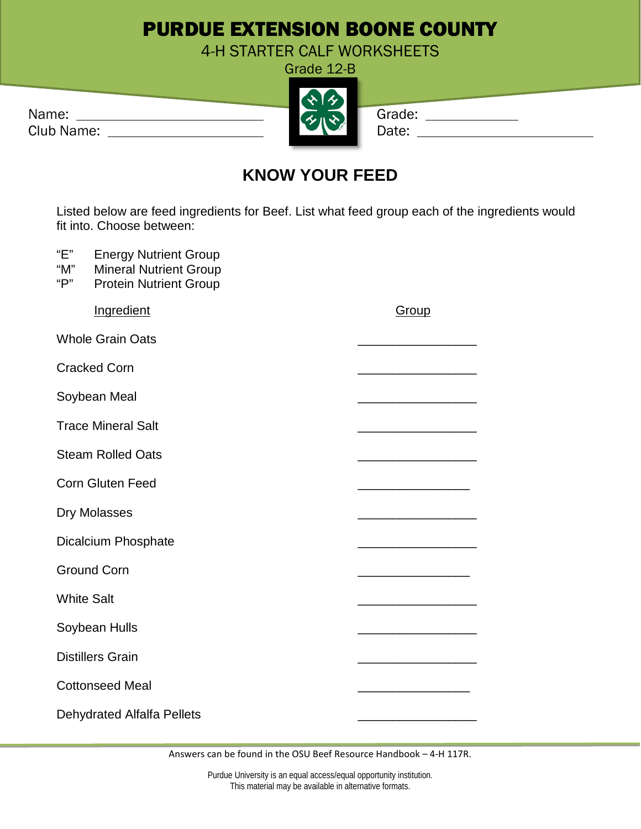## PURDUE EXTENSION BOONE COUNTY

4-H STARTER CALF WORKSHEETS Grade 12-B

| Name:      | $\mathcal{L}$ in $\mathcal{N}$ | Grade: |
|------------|--------------------------------|--------|
| Club Name: |                                |        |

|            | <b>ZX</b>               |       |
|------------|-------------------------|-------|
| Name:      | $\overline{\mathbf{u}}$ | Grade |
| Club Name: |                         | Date: |
|            |                         |       |

| irade: |  |
|--------|--|
| .      |  |

## **KNOW YOUR FEED**

Listed below are feed ingredients for Beef. List what feed group each of the ingredients would fit into. Choose between:

"E" Energy Nutrient Group

- "M" Mineral Nutrient Group<br>"P" Protein Nutrient Group
- Protein Nutrient Group

| Group |
|-------|
|       |
|       |
|       |
|       |
|       |
|       |
|       |
|       |
|       |
|       |
|       |
|       |
|       |
|       |
|       |

Answers can be found in the OSU Beef Resource Handbook – 4-H 117R.